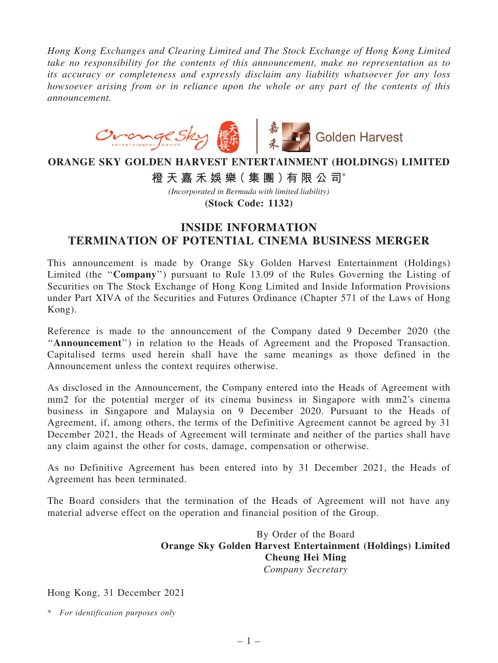*Hong Kong Exchanges and Clearing Limited and The Stock Exchange of Hong Kong Limited take no responsibility for the contents of this announcement, make no representation as to its accuracy or completeness and expressly disclaim any liability whatsoever for any loss howsoever arising from or in reliance upon the whole or any part of the contents of this announcement.*



## **ORANGE SKY GOLDEN HARVEST ENTERTAINMENT (HOLDINGS) LIMITED**

**橙 天 嘉 禾 娛 樂( 集 團 )有 限 公 司**\*

*(Incorporated in Bermuda with limited liability)*

**(Stock Code: 1132)**

## INSIDE INFORMATION TERMINATION OF POTENTIAL CINEMA BUSINESS MERGER

This announcement is made by Orange Sky Golden Harvest Entertainment (Holdings) Limited (the ''Company'') pursuant to Rule 13.09 of the Rules Governing the Listing of Securities on The Stock Exchange of Hong Kong Limited and Inside Information Provisions under Part XIVA of the Securities and Futures Ordinance (Chapter 571 of the Laws of Hong Kong).

Reference is made to the announcement of the Company dated 9 December 2020 (the "Announcement") in relation to the Heads of Agreement and the Proposed Transaction. Capitalised terms used herein shall have the same meanings as those defined in the Announcement unless the context requires otherwise.

As disclosed in the Announcement, the Company entered into the Heads of Agreement with mm2 for the potential merger of its cinema business in Singapore with mm2's cinema business in Singapore and Malaysia on 9 December 2020. Pursuant to the Heads of Agreement, if, among others, the terms of the Definitive Agreement cannot be agreed by 31 December 2021, the Heads of Agreement will terminate and neither of the parties shall have any claim against the other for costs, damage, compensation or otherwise.

As no Definitive Agreement has been entered into by 31 December 2021, the Heads of Agreement has been terminated.

The Board considers that the termination of the Heads of Agreement will not have any material adverse effect on the operation and financial position of the Group.

> By Order of the Board Orange Sky Golden Harvest Entertainment (Holdings) Limited Cheung Hei Ming *Company Secretary*

Hong Kong, 31 December 2021

\* *For identification purposes only*